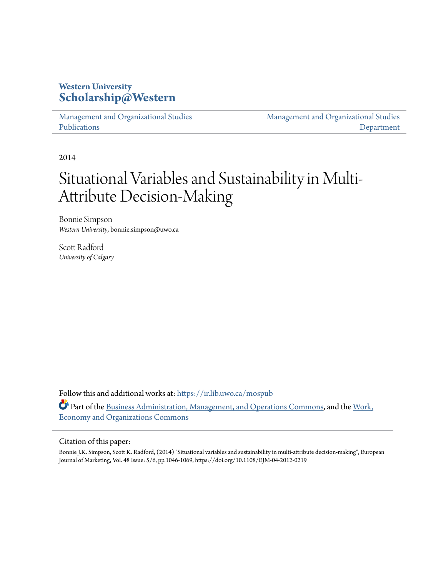# **Western University [Scholarship@Western](https://ir.lib.uwo.ca?utm_source=ir.lib.uwo.ca%2Fmospub%2F5&utm_medium=PDF&utm_campaign=PDFCoverPages)**

[Management and Organizational Studies](https://ir.lib.uwo.ca/mospub?utm_source=ir.lib.uwo.ca%2Fmospub%2F5&utm_medium=PDF&utm_campaign=PDFCoverPages) [Publications](https://ir.lib.uwo.ca/mospub?utm_source=ir.lib.uwo.ca%2Fmospub%2F5&utm_medium=PDF&utm_campaign=PDFCoverPages)

[Management and Organizational Studies](https://ir.lib.uwo.ca/mos?utm_source=ir.lib.uwo.ca%2Fmospub%2F5&utm_medium=PDF&utm_campaign=PDFCoverPages) [Department](https://ir.lib.uwo.ca/mos?utm_source=ir.lib.uwo.ca%2Fmospub%2F5&utm_medium=PDF&utm_campaign=PDFCoverPages)

2014

# Situational Variables and Sustainability in Multi-Attribute Decision-Making

Bonnie Simpson *Western University*, bonnie.simpson@uwo.ca

Scott Radford *University of Calgary*

Follow this and additional works at: [https://ir.lib.uwo.ca/mospub](https://ir.lib.uwo.ca/mospub?utm_source=ir.lib.uwo.ca%2Fmospub%2F5&utm_medium=PDF&utm_campaign=PDFCoverPages) Part of the [Business Administration, Management, and Operations Commons](http://network.bepress.com/hgg/discipline/623?utm_source=ir.lib.uwo.ca%2Fmospub%2F5&utm_medium=PDF&utm_campaign=PDFCoverPages), and the [Work,](http://network.bepress.com/hgg/discipline/433?utm_source=ir.lib.uwo.ca%2Fmospub%2F5&utm_medium=PDF&utm_campaign=PDFCoverPages) [Economy and Organizations Commons](http://network.bepress.com/hgg/discipline/433?utm_source=ir.lib.uwo.ca%2Fmospub%2F5&utm_medium=PDF&utm_campaign=PDFCoverPages)

## Citation of this paper:

Bonnie J.K. Simpson, Scott K. Radford, (2014) "Situational variables and sustainability in multi-attribute decision-making", European Journal of Marketing, Vol. 48 Issue: 5/6, pp.1046-1069, https://doi.org/10.1108/EJM-04-2012-0219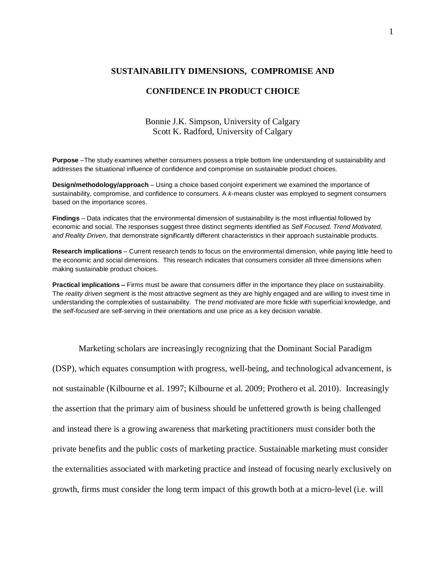#### **SUSTAINABILITY DIMENSIONS, COMPROMISE AND**

#### **CONFIDENCE IN PRODUCT CHOICE**

# Bonnie J.K. Simpson, University of Calgary Scott K. Radford, University of Calgary

**Purpose** –The study examines whether consumers possess a triple bottom line understanding of sustainability and addresses the situational influence of confidence and compromise on sustainable product choices.

**Design/methodology/approach** – Using a choice based conjoint experiment we examined the importance of sustainability, compromise, and confidence to consumers. A *k*-means cluster was employed to segment consumers based on the importance scores.

**Findings** – Data indicates that the environmental dimension of sustainability is the most influential followed by economic and social. The responses suggest three distinct segments identified as *Self Focused, Trend Motivated, and Reality Driven*, that demonstrate significantly different characteristics in their approach sustainable products.

**Research implications** – Current research tends to focus on the environmental dimension, while paying little heed to the economic and social dimensions. This research indicates that consumers consider all three dimensions when making sustainable product choices.

**Practical implications –** Firms must be aware that consumers differ in the importance they place on sustainability. The *reality driven* segment is the most attractive segment as they are highly engaged and are willing to invest time in understanding the complexities of sustainability. The *trend motivated* are more fickle with superficial knowledge, and the *self-focused* are self-serving in their orientations and use price as a key decision variable.

Marketing scholars are increasingly recognizing that the Dominant Social Paradigm (DSP), which equates consumption with progress, well-being, and technological advancement, is not sustainable (Kilbourne et al. 1997; Kilbourne et al. 2009; Prothero et al. 2010). Increasingly the assertion that the primary aim of business should be unfettered growth is being challenged and instead there is a growing awareness that marketing practitioners must consider both the private benefits and the public costs of marketing practice. Sustainable marketing must consider the externalities associated with marketing practice and instead of focusing nearly exclusively on growth, firms must consider the long term impact of this growth both at a micro-level (i.e. will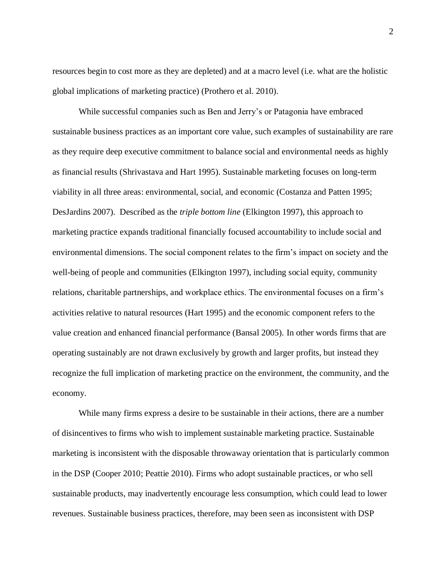resources begin to cost more as they are depleted) and at a macro level (i.e. what are the holistic global implications of marketing practice) (Prothero et al. 2010).

While successful companies such as Ben and Jerry's or Patagonia have embraced sustainable business practices as an important core value, such examples of sustainability are rare as they require deep executive commitment to balance social and environmental needs as highly as financial results (Shrivastava and Hart 1995). Sustainable marketing focuses on long-term viability in all three areas: environmental, social, and economic (Costanza and Patten 1995; DesJardins 2007). Described as the *triple bottom line* (Elkington 1997), this approach to marketing practice expands traditional financially focused accountability to include social and environmental dimensions. The social component relates to the firm's impact on society and the well-being of people and communities (Elkington 1997), including social equity, community relations, charitable partnerships, and workplace ethics. The environmental focuses on a firm's activities relative to natural resources (Hart 1995) and the economic component refers to the value creation and enhanced financial performance (Bansal 2005). In other words firms that are operating sustainably are not drawn exclusively by growth and larger profits, but instead they recognize the full implication of marketing practice on the environment, the community, and the economy.

While many firms express a desire to be sustainable in their actions, there are a number of disincentives to firms who wish to implement sustainable marketing practice. Sustainable marketing is inconsistent with the disposable throwaway orientation that is particularly common in the DSP (Cooper 2010; Peattie 2010). Firms who adopt sustainable practices, or who sell sustainable products, may inadvertently encourage less consumption, which could lead to lower revenues. Sustainable business practices, therefore, may been seen as inconsistent with DSP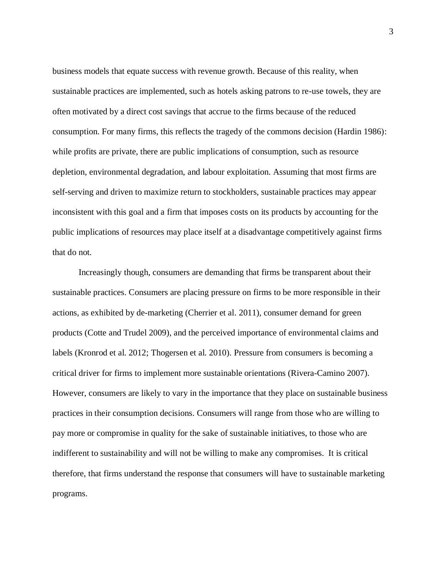business models that equate success with revenue growth. Because of this reality, when sustainable practices are implemented, such as hotels asking patrons to re-use towels, they are often motivated by a direct cost savings that accrue to the firms because of the reduced consumption. For many firms, this reflects the tragedy of the commons decision (Hardin 1986): while profits are private, there are public implications of consumption, such as resource depletion, environmental degradation, and labour exploitation. Assuming that most firms are self-serving and driven to maximize return to stockholders, sustainable practices may appear inconsistent with this goal and a firm that imposes costs on its products by accounting for the public implications of resources may place itself at a disadvantage competitively against firms that do not.

Increasingly though, consumers are demanding that firms be transparent about their sustainable practices. Consumers are placing pressure on firms to be more responsible in their actions, as exhibited by de-marketing (Cherrier et al. 2011), consumer demand for green products (Cotte and Trudel 2009), and the perceived importance of environmental claims and labels (Kronrod et al. 2012; Thogersen et al. 2010). Pressure from consumers is becoming a critical driver for firms to implement more sustainable orientations (Rivera-Camino 2007). However, consumers are likely to vary in the importance that they place on sustainable business practices in their consumption decisions. Consumers will range from those who are willing to pay more or compromise in quality for the sake of sustainable initiatives, to those who are indifferent to sustainability and will not be willing to make any compromises. It is critical therefore, that firms understand the response that consumers will have to sustainable marketing programs.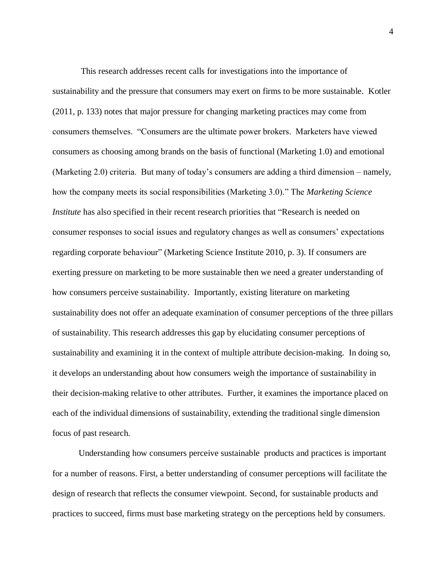This research addresses recent calls for investigations into the importance of sustainability and the pressure that consumers may exert on firms to be more sustainable. Kotler (2011, p. 133) notes that major pressure for changing marketing practices may come from consumers themselves. "Consumers are the ultimate power brokers. Marketers have viewed consumers as choosing among brands on the basis of functional (Marketing 1.0) and emotional (Marketing 2.0) criteria. But many of today's consumers are adding a third dimension – namely, how the company meets its social responsibilities (Marketing 3.0)." The *Marketing Science Institute* has also specified in their recent research priorities that "Research is needed on consumer responses to social issues and regulatory changes as well as consumers' expectations regarding corporate behaviour" (Marketing Science Institute 2010, p. 3). If consumers are exerting pressure on marketing to be more sustainable then we need a greater understanding of how consumers perceive sustainability. Importantly, existing literature on marketing sustainability does not offer an adequate examination of consumer perceptions of the three pillars of sustainability. This research addresses this gap by elucidating consumer perceptions of sustainability and examining it in the context of multiple attribute decision-making. In doing so, it develops an understanding about how consumers weigh the importance of sustainability in their decision-making relative to other attributes. Further, it examines the importance placed on each of the individual dimensions of sustainability, extending the traditional single dimension focus of past research.

Understanding how consumers perceive sustainable products and practices is important for a number of reasons. First, a better understanding of consumer perceptions will facilitate the design of research that reflects the consumer viewpoint. Second, for sustainable products and practices to succeed, firms must base marketing strategy on the perceptions held by consumers.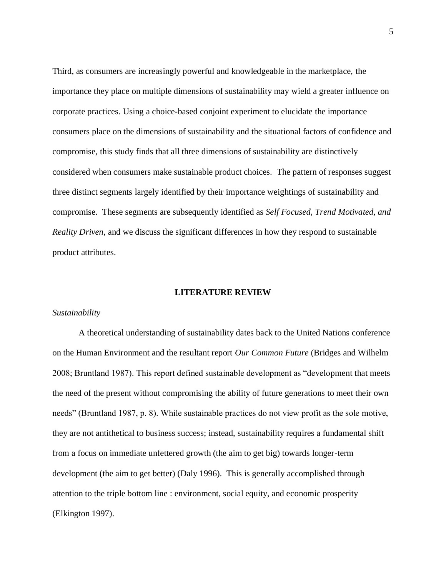Third, as consumers are increasingly powerful and knowledgeable in the marketplace, the importance they place on multiple dimensions of sustainability may wield a greater influence on corporate practices. Using a choice-based conjoint experiment to elucidate the importance consumers place on the dimensions of sustainability and the situational factors of confidence and compromise, this study finds that all three dimensions of sustainability are distinctively considered when consumers make sustainable product choices. The pattern of responses suggest three distinct segments largely identified by their importance weightings of sustainability and compromise. These segments are subsequently identified as *Self Focused, Trend Motivated, and Reality Driven*, and we discuss the significant differences in how they respond to sustainable product attributes.

## **LITERATURE REVIEW**

# *Sustainability*

A theoretical understanding of sustainability dates back to the United Nations conference on the Human Environment and the resultant report *Our Common Future* (Bridges and Wilhelm 2008; Bruntland 1987). This report defined sustainable development as "development that meets the need of the present without compromising the ability of future generations to meet their own needs" (Bruntland 1987, p. 8). While sustainable practices do not view profit as the sole motive, they are not antithetical to business success; instead, sustainability requires a fundamental shift from a focus on immediate unfettered growth (the aim to get big) towards longer-term development (the aim to get better) (Daly 1996). This is generally accomplished through attention to the triple bottom line : environment, social equity, and economic prosperity (Elkington 1997).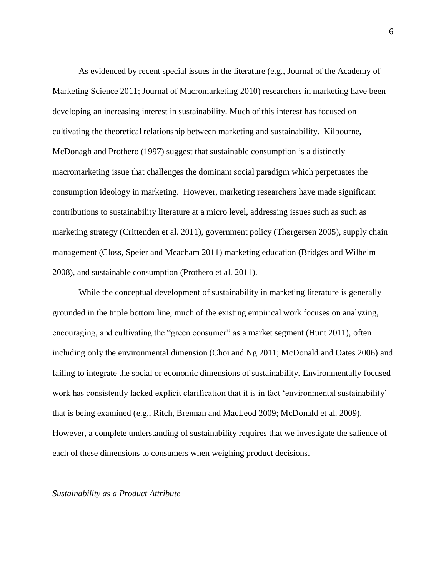As evidenced by recent special issues in the literature (e.g., Journal of the Academy of Marketing Science 2011; Journal of Macromarketing 2010) researchers in marketing have been developing an increasing interest in sustainability. Much of this interest has focused on cultivating the theoretical relationship between marketing and sustainability. Kilbourne, McDonagh and Prothero (1997) suggest that sustainable consumption is a distinctly macromarketing issue that challenges the dominant social paradigm which perpetuates the consumption ideology in marketing. However, marketing researchers have made significant contributions to sustainability literature at a micro level, addressing issues such as such as marketing strategy (Crittenden et al. 2011), government policy (Thørgersen 2005), supply chain management (Closs, Speier and Meacham 2011) marketing education (Bridges and Wilhelm 2008), and sustainable consumption (Prothero et al. 2011).

While the conceptual development of sustainability in marketing literature is generally grounded in the triple bottom line, much of the existing empirical work focuses on analyzing, encouraging, and cultivating the "green consumer" as a market segment (Hunt 2011), often including only the environmental dimension (Choi and Ng 2011; McDonald and Oates 2006) and failing to integrate the social or economic dimensions of sustainability. Environmentally focused work has consistently lacked explicit clarification that it is in fact 'environmental sustainability' that is being examined (e.g., Ritch, Brennan and MacLeod 2009; McDonald et al. 2009). However, a complete understanding of sustainability requires that we investigate the salience of each of these dimensions to consumers when weighing product decisions.

#### *Sustainability as a Product Attribute*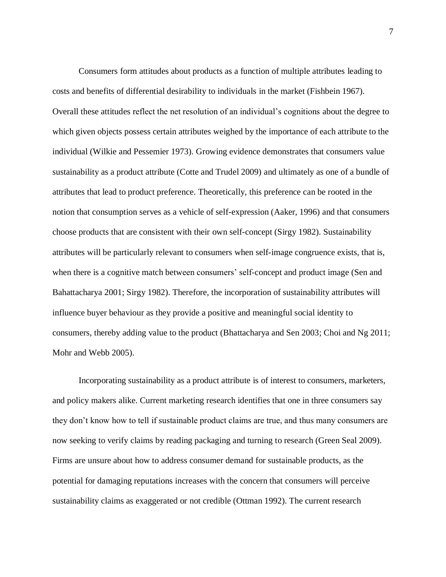Consumers form attitudes about products as a function of multiple attributes leading to costs and benefits of differential desirability to individuals in the market (Fishbein 1967). Overall these attitudes reflect the net resolution of an individual's cognitions about the degree to which given objects possess certain attributes weighed by the importance of each attribute to the individual (Wilkie and Pessemier 1973). Growing evidence demonstrates that consumers value sustainability as a product attribute (Cotte and Trudel 2009) and ultimately as one of a bundle of attributes that lead to product preference. Theoretically, this preference can be rooted in the notion that consumption serves as a vehicle of self-expression (Aaker, 1996) and that consumers choose products that are consistent with their own self-concept (Sirgy 1982). Sustainability attributes will be particularly relevant to consumers when self-image congruence exists, that is, when there is a cognitive match between consumers' self-concept and product image (Sen and Bahattacharya 2001; Sirgy 1982). Therefore, the incorporation of sustainability attributes will influence buyer behaviour as they provide a positive and meaningful social identity to consumers, thereby adding value to the product (Bhattacharya and Sen 2003; Choi and Ng 2011; Mohr and Webb 2005).

Incorporating sustainability as a product attribute is of interest to consumers, marketers, and policy makers alike. Current marketing research identifies that one in three consumers say they don't know how to tell if sustainable product claims are true, and thus many consumers are now seeking to verify claims by reading packaging and turning to research (Green Seal 2009). Firms are unsure about how to address consumer demand for sustainable products, as the potential for damaging reputations increases with the concern that consumers will perceive sustainability claims as exaggerated or not credible (Ottman 1992). The current research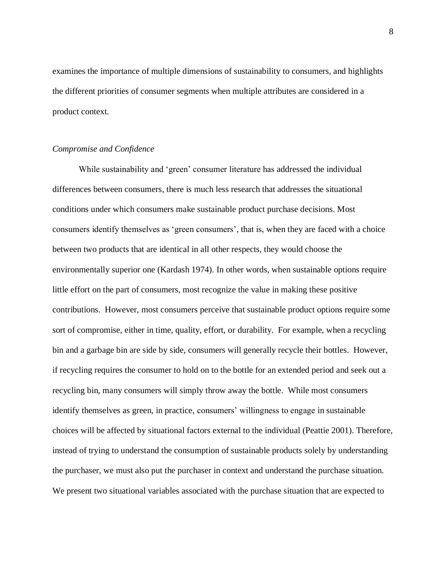examines the importance of multiple dimensions of sustainability to consumers, and highlights the different priorities of consumer segments when multiple attributes are considered in a product context.

#### *Compromise and Confidence*

While sustainability and 'green' consumer literature has addressed the individual differences between consumers, there is much less research that addresses the situational conditions under which consumers make sustainable product purchase decisions. Most consumers identify themselves as 'green consumers', that is, when they are faced with a choice between two products that are identical in all other respects, they would choose the environmentally superior one (Kardash 1974). In other words, when sustainable options require little effort on the part of consumers, most recognize the value in making these positive contributions. However, most consumers perceive that sustainable product options require some sort of compromise, either in time, quality, effort, or durability. For example, when a recycling bin and a garbage bin are side by side, consumers will generally recycle their bottles. However, if recycling requires the consumer to hold on to the bottle for an extended period and seek out a recycling bin, many consumers will simply throw away the bottle. While most consumers identify themselves as green, in practice, consumers' willingness to engage in sustainable choices will be affected by situational factors external to the individual (Peattie 2001). Therefore, instead of trying to understand the consumption of sustainable products solely by understanding the purchaser, we must also put the purchaser in context and understand the purchase situation. We present two situational variables associated with the purchase situation that are expected to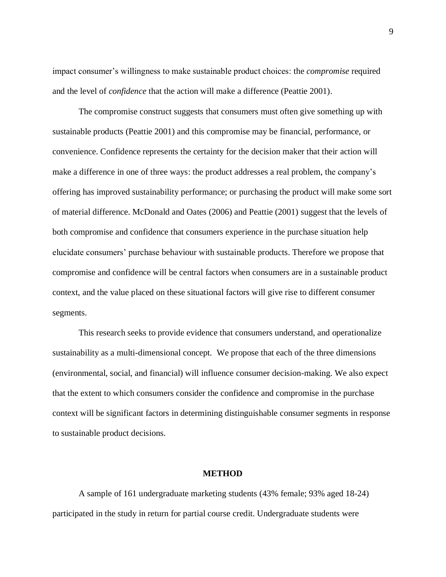impact consumer's willingness to make sustainable product choices: the *compromise* required and the level of *confidence* that the action will make a difference (Peattie 2001).

The compromise construct suggests that consumers must often give something up with sustainable products (Peattie 2001) and this compromise may be financial, performance, or convenience. Confidence represents the certainty for the decision maker that their action will make a difference in one of three ways: the product addresses a real problem, the company's offering has improved sustainability performance; or purchasing the product will make some sort of material difference. McDonald and Oates (2006) and Peattie (2001) suggest that the levels of both compromise and confidence that consumers experience in the purchase situation help elucidate consumers' purchase behaviour with sustainable products. Therefore we propose that compromise and confidence will be central factors when consumers are in a sustainable product context, and the value placed on these situational factors will give rise to different consumer segments.

This research seeks to provide evidence that consumers understand, and operationalize sustainability as a multi-dimensional concept. We propose that each of the three dimensions (environmental, social, and financial) will influence consumer decision-making. We also expect that the extent to which consumers consider the confidence and compromise in the purchase context will be significant factors in determining distinguishable consumer segments in response to sustainable product decisions.

#### **METHOD**

A sample of 161 undergraduate marketing students (43% female; 93% aged 18-24) participated in the study in return for partial course credit. Undergraduate students were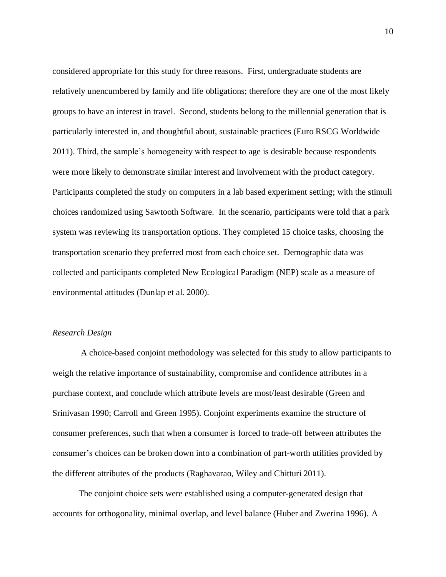considered appropriate for this study for three reasons. First, undergraduate students are relatively unencumbered by family and life obligations; therefore they are one of the most likely groups to have an interest in travel. Second, students belong to the millennial generation that is particularly interested in, and thoughtful about, sustainable practices (Euro RSCG Worldwide 2011). Third, the sample's homogeneity with respect to age is desirable because respondents were more likely to demonstrate similar interest and involvement with the product category. Participants completed the study on computers in a lab based experiment setting; with the stimuli choices randomized using Sawtooth Software. In the scenario, participants were told that a park system was reviewing its transportation options. They completed 15 choice tasks, choosing the transportation scenario they preferred most from each choice set. Demographic data was collected and participants completed New Ecological Paradigm (NEP) scale as a measure of environmental attitudes (Dunlap et al. 2000).

# *Research Design*

A choice-based conjoint methodology was selected for this study to allow participants to weigh the relative importance of sustainability, compromise and confidence attributes in a purchase context, and conclude which attribute levels are most/least desirable (Green and Srinivasan 1990; Carroll and Green 1995). Conjoint experiments examine the structure of consumer preferences, such that when a consumer is forced to trade-off between attributes the consumer's choices can be broken down into a combination of part-worth utilities provided by the different attributes of the products (Raghavarao, Wiley and Chitturi 2011).

The conjoint choice sets were established using a computer-generated design that accounts for orthogonality, minimal overlap, and level balance (Huber and Zwerina 1996). A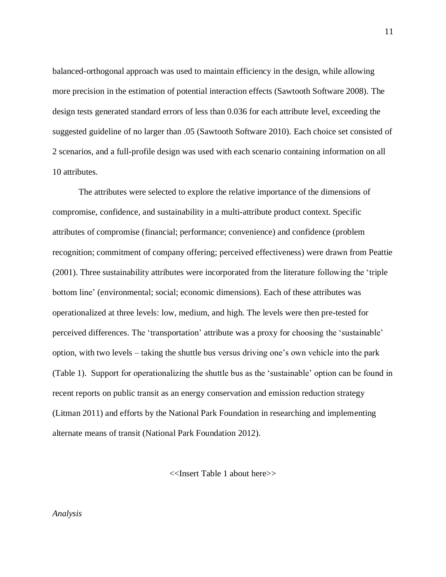balanced-orthogonal approach was used to maintain efficiency in the design, while allowing more precision in the estimation of potential interaction effects (Sawtooth Software 2008). The design tests generated standard errors of less than 0.036 for each attribute level, exceeding the suggested guideline of no larger than .05 (Sawtooth Software 2010). Each choice set consisted of 2 scenarios, and a full-profile design was used with each scenario containing information on all 10 attributes.

The attributes were selected to explore the relative importance of the dimensions of compromise, confidence, and sustainability in a multi-attribute product context. Specific attributes of compromise (financial; performance; convenience) and confidence (problem recognition; commitment of company offering; perceived effectiveness) were drawn from Peattie (2001). Three sustainability attributes were incorporated from the literature following the 'triple bottom line' (environmental; social; economic dimensions). Each of these attributes was operationalized at three levels: low, medium, and high. The levels were then pre-tested for perceived differences. The 'transportation' attribute was a proxy for choosing the 'sustainable' option, with two levels – taking the shuttle bus versus driving one's own vehicle into the park (Table 1). Support for operationalizing the shuttle bus as the 'sustainable' option can be found in recent reports on public transit as an energy conservation and emission reduction strategy (Litman 2011) and efforts by the National Park Foundation in researching and implementing alternate means of transit (National Park Foundation 2012).

<<Insert Table 1 about here>>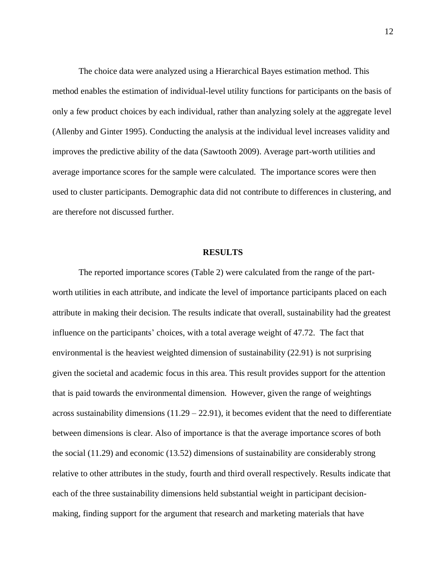The choice data were analyzed using a Hierarchical Bayes estimation method. This method enables the estimation of individual-level utility functions for participants on the basis of only a few product choices by each individual, rather than analyzing solely at the aggregate level (Allenby and Ginter 1995). Conducting the analysis at the individual level increases validity and improves the predictive ability of the data (Sawtooth 2009). Average part-worth utilities and average importance scores for the sample were calculated. The importance scores were then used to cluster participants. Demographic data did not contribute to differences in clustering, and are therefore not discussed further.

#### **RESULTS**

The reported importance scores (Table 2) were calculated from the range of the partworth utilities in each attribute, and indicate the level of importance participants placed on each attribute in making their decision. The results indicate that overall, sustainability had the greatest influence on the participants' choices, with a total average weight of 47.72. The fact that environmental is the heaviest weighted dimension of sustainability (22.91) is not surprising given the societal and academic focus in this area. This result provides support for the attention that is paid towards the environmental dimension. However, given the range of weightings across sustainability dimensions  $(11.29 - 22.91)$ , it becomes evident that the need to differentiate between dimensions is clear. Also of importance is that the average importance scores of both the social (11.29) and economic (13.52) dimensions of sustainability are considerably strong relative to other attributes in the study, fourth and third overall respectively. Results indicate that each of the three sustainability dimensions held substantial weight in participant decisionmaking, finding support for the argument that research and marketing materials that have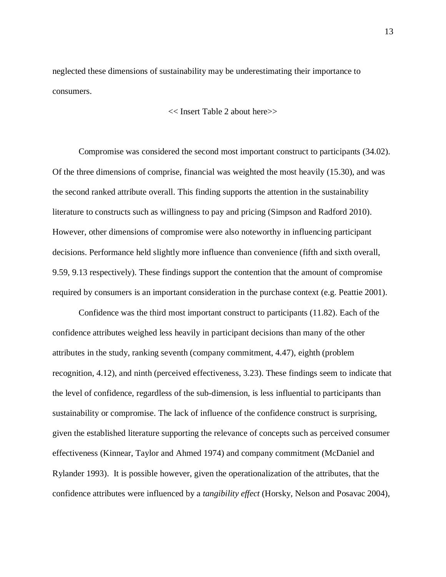neglected these dimensions of sustainability may be underestimating their importance to consumers.

<< Insert Table 2 about here>>

Compromise was considered the second most important construct to participants (34.02). Of the three dimensions of comprise, financial was weighted the most heavily (15.30), and was the second ranked attribute overall. This finding supports the attention in the sustainability literature to constructs such as willingness to pay and pricing (Simpson and Radford 2010). However, other dimensions of compromise were also noteworthy in influencing participant decisions. Performance held slightly more influence than convenience (fifth and sixth overall, 9.59, 9.13 respectively). These findings support the contention that the amount of compromise required by consumers is an important consideration in the purchase context (e.g. Peattie 2001).

Confidence was the third most important construct to participants (11.82). Each of the confidence attributes weighed less heavily in participant decisions than many of the other attributes in the study, ranking seventh (company commitment, 4.47), eighth (problem recognition, 4.12), and ninth (perceived effectiveness, 3.23). These findings seem to indicate that the level of confidence, regardless of the sub-dimension, is less influential to participants than sustainability or compromise. The lack of influence of the confidence construct is surprising, given the established literature supporting the relevance of concepts such as perceived consumer effectiveness (Kinnear, Taylor and Ahmed 1974) and company commitment (McDaniel and Rylander 1993). It is possible however, given the operationalization of the attributes, that the confidence attributes were influenced by a *tangibility effect* (Horsky, Nelson and Posavac 2004),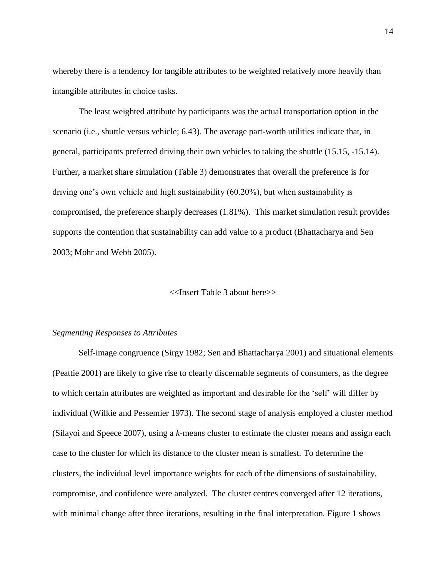whereby there is a tendency for tangible attributes to be weighted relatively more heavily than intangible attributes in choice tasks.

The least weighted attribute by participants was the actual transportation option in the scenario (i.e., shuttle versus vehicle; 6.43). The average part-worth utilities indicate that, in general, participants preferred driving their own vehicles to taking the shuttle (15.15, -15.14). Further, a market share simulation (Table 3) demonstrates that overall the preference is for driving one's own vehicle and high sustainability (60.20%), but when sustainability is compromised, the preference sharply decreases (1.81%). This market simulation result provides supports the contention that sustainability can add value to a product (Bhattacharya and Sen 2003; Mohr and Webb 2005).

#### <<Insert Table 3 about here>>

#### *Segmenting Responses to Attributes*

Self-image congruence (Sirgy 1982; Sen and Bhattacharya 2001) and situational elements (Peattie 2001) are likely to give rise to clearly discernable segments of consumers, as the degree to which certain attributes are weighted as important and desirable for the 'self' will differ by individual (Wilkie and Pessemier 1973). The second stage of analysis employed a cluster method (Silayoi and Speece 2007), using a *k*-means cluster to estimate the cluster means and assign each case to the cluster for which its distance to the cluster mean is smallest. To determine the clusters, the individual level importance weights for each of the dimensions of sustainability, compromise, and confidence were analyzed. The cluster centres converged after 12 iterations, with minimal change after three iterations, resulting in the final interpretation. Figure 1 shows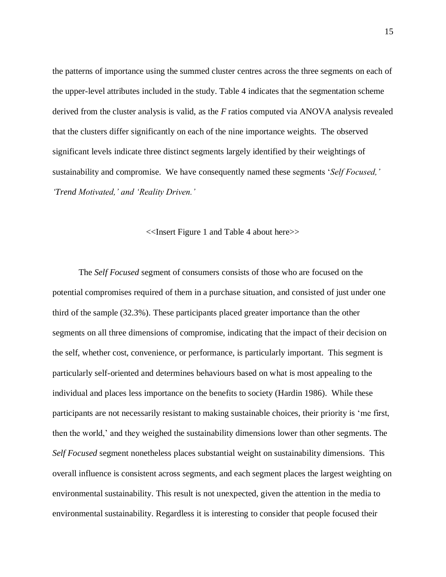the patterns of importance using the summed cluster centres across the three segments on each of the upper-level attributes included in the study. Table 4 indicates that the segmentation scheme derived from the cluster analysis is valid, as the *F* ratios computed via ANOVA analysis revealed that the clusters differ significantly on each of the nine importance weights. The observed significant levels indicate three distinct segments largely identified by their weightings of sustainability and compromise. We have consequently named these segments '*Self Focused,' 'Trend Motivated,' and 'Reality Driven.'* 

#### <<Insert Figure 1 and Table 4 about here>>

The *Self Focused* segment of consumers consists of those who are focused on the potential compromises required of them in a purchase situation, and consisted of just under one third of the sample (32.3%). These participants placed greater importance than the other segments on all three dimensions of compromise, indicating that the impact of their decision on the self, whether cost, convenience, or performance, is particularly important. This segment is particularly self-oriented and determines behaviours based on what is most appealing to the individual and places less importance on the benefits to society (Hardin 1986). While these participants are not necessarily resistant to making sustainable choices, their priority is 'me first, then the world,' and they weighed the sustainability dimensions lower than other segments. The *Self Focused* segment nonetheless places substantial weight on sustainability dimensions. This overall influence is consistent across segments, and each segment places the largest weighting on environmental sustainability. This result is not unexpected, given the attention in the media to environmental sustainability. Regardless it is interesting to consider that people focused their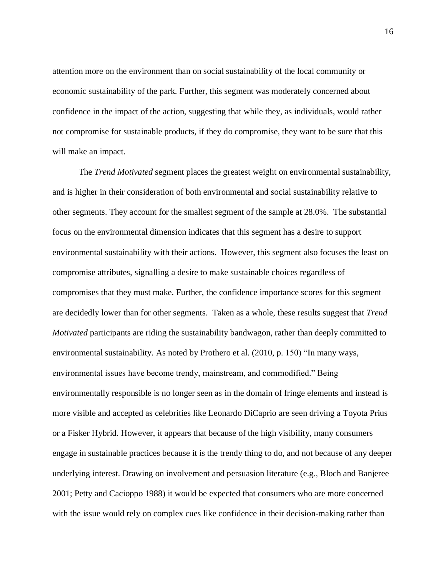attention more on the environment than on social sustainability of the local community or economic sustainability of the park. Further, this segment was moderately concerned about confidence in the impact of the action, suggesting that while they, as individuals, would rather not compromise for sustainable products, if they do compromise, they want to be sure that this will make an impact.

The *Trend Motivated* segment places the greatest weight on environmental sustainability, and is higher in their consideration of both environmental and social sustainability relative to other segments. They account for the smallest segment of the sample at 28.0%. The substantial focus on the environmental dimension indicates that this segment has a desire to support environmental sustainability with their actions. However, this segment also focuses the least on compromise attributes, signalling a desire to make sustainable choices regardless of compromises that they must make. Further, the confidence importance scores for this segment are decidedly lower than for other segments. Taken as a whole, these results suggest that *Trend Motivated* participants are riding the sustainability bandwagon, rather than deeply committed to environmental sustainability. As noted by Prothero et al. (2010, p. 150) "In many ways, environmental issues have become trendy, mainstream, and commodified." Being environmentally responsible is no longer seen as in the domain of fringe elements and instead is more visible and accepted as celebrities like Leonardo DiCaprio are seen driving a Toyota Prius or a Fisker Hybrid. However, it appears that because of the high visibility, many consumers engage in sustainable practices because it is the trendy thing to do, and not because of any deeper underlying interest. Drawing on involvement and persuasion literature (e.g., Bloch and Banjeree 2001; Petty and Cacioppo 1988) it would be expected that consumers who are more concerned with the issue would rely on complex cues like confidence in their decision-making rather than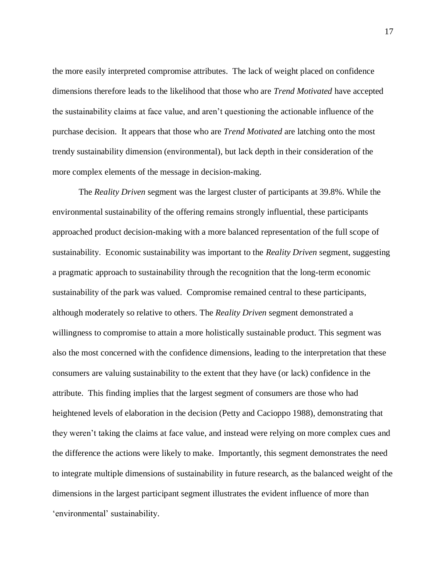the more easily interpreted compromise attributes. The lack of weight placed on confidence dimensions therefore leads to the likelihood that those who are *Trend Motivated* have accepted the sustainability claims at face value, and aren't questioning the actionable influence of the purchase decision. It appears that those who are *Trend Motivated* are latching onto the most trendy sustainability dimension (environmental), but lack depth in their consideration of the more complex elements of the message in decision-making.

The *Reality Driven* segment was the largest cluster of participants at 39.8%. While the environmental sustainability of the offering remains strongly influential, these participants approached product decision-making with a more balanced representation of the full scope of sustainability. Economic sustainability was important to the *Reality Driven* segment, suggesting a pragmatic approach to sustainability through the recognition that the long-term economic sustainability of the park was valued. Compromise remained central to these participants, although moderately so relative to others. The *Reality Driven* segment demonstrated a willingness to compromise to attain a more holistically sustainable product. This segment was also the most concerned with the confidence dimensions, leading to the interpretation that these consumers are valuing sustainability to the extent that they have (or lack) confidence in the attribute. This finding implies that the largest segment of consumers are those who had heightened levels of elaboration in the decision (Petty and Cacioppo 1988), demonstrating that they weren't taking the claims at face value, and instead were relying on more complex cues and the difference the actions were likely to make. Importantly, this segment demonstrates the need to integrate multiple dimensions of sustainability in future research, as the balanced weight of the dimensions in the largest participant segment illustrates the evident influence of more than 'environmental' sustainability.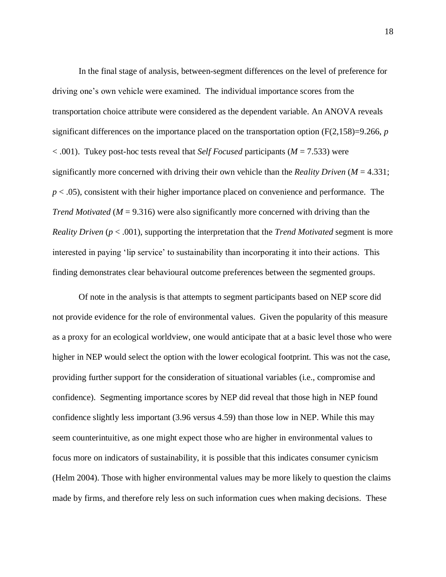In the final stage of analysis, between-segment differences on the level of preference for driving one's own vehicle were examined. The individual importance scores from the transportation choice attribute were considered as the dependent variable. An ANOVA reveals significant differences on the importance placed on the transportation option (F(2,158)=9.266, *p* < .001). Tukey post-hoc tests reveal that *Self Focused* participants (*M* = 7.533) were significantly more concerned with driving their own vehicle than the *Reality Driven* (*M* = 4.331;  $p < .05$ ), consistent with their higher importance placed on convenience and performance. The *Trend Motivated* ( $M = 9.316$ ) were also significantly more concerned with driving than the *Reality Driven* (*p* < .001), supporting the interpretation that the *Trend Motivated* segment is more interested in paying 'lip service' to sustainability than incorporating it into their actions. This finding demonstrates clear behavioural outcome preferences between the segmented groups.

Of note in the analysis is that attempts to segment participants based on NEP score did not provide evidence for the role of environmental values. Given the popularity of this measure as a proxy for an ecological worldview, one would anticipate that at a basic level those who were higher in NEP would select the option with the lower ecological footprint. This was not the case, providing further support for the consideration of situational variables (i.e., compromise and confidence). Segmenting importance scores by NEP did reveal that those high in NEP found confidence slightly less important (3.96 versus 4.59) than those low in NEP. While this may seem counterintuitive, as one might expect those who are higher in environmental values to focus more on indicators of sustainability, it is possible that this indicates consumer cynicism (Helm 2004). Those with higher environmental values may be more likely to question the claims made by firms, and therefore rely less on such information cues when making decisions. These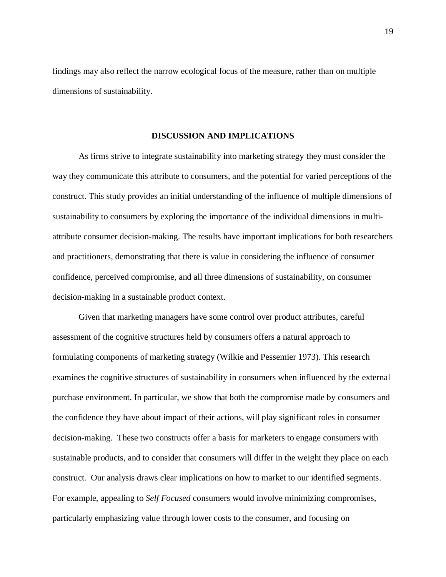findings may also reflect the narrow ecological focus of the measure, rather than on multiple dimensions of sustainability.

#### **DISCUSSION AND IMPLICATIONS**

As firms strive to integrate sustainability into marketing strategy they must consider the way they communicate this attribute to consumers, and the potential for varied perceptions of the construct. This study provides an initial understanding of the influence of multiple dimensions of sustainability to consumers by exploring the importance of the individual dimensions in multiattribute consumer decision-making. The results have important implications for both researchers and practitioners, demonstrating that there is value in considering the influence of consumer confidence, perceived compromise, and all three dimensions of sustainability, on consumer decision-making in a sustainable product context.

Given that marketing managers have some control over product attributes, careful assessment of the cognitive structures held by consumers offers a natural approach to formulating components of marketing strategy (Wilkie and Pessemier 1973). This research examines the cognitive structures of sustainability in consumers when influenced by the external purchase environment. In particular, we show that both the compromise made by consumers and the confidence they have about impact of their actions, will play significant roles in consumer decision-making. These two constructs offer a basis for marketers to engage consumers with sustainable products, and to consider that consumers will differ in the weight they place on each construct. Our analysis draws clear implications on how to market to our identified segments. For example, appealing to *Self Focused* consumers would involve minimizing compromises, particularly emphasizing value through lower costs to the consumer, and focusing on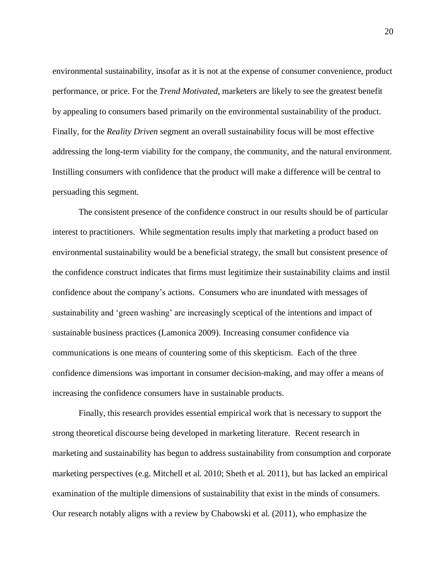environmental sustainability, insofar as it is not at the expense of consumer convenience, product performance, or price. For the *Trend Motivated,* marketers are likely to see the greatest benefit by appealing to consumers based primarily on the environmental sustainability of the product. Finally, for the *Reality Driven* segment an overall sustainability focus will be most effective addressing the long-term viability for the company, the community, and the natural environment. Instilling consumers with confidence that the product will make a difference will be central to persuading this segment.

The consistent presence of the confidence construct in our results should be of particular interest to practitioners. While segmentation results imply that marketing a product based on environmental sustainability would be a beneficial strategy, the small but consistent presence of the confidence construct indicates that firms must legitimize their sustainability claims and instil confidence about the company's actions. Consumers who are inundated with messages of sustainability and 'green washing' are increasingly sceptical of the intentions and impact of sustainable business practices (Lamonica 2009). Increasing consumer confidence via communications is one means of countering some of this skepticism. Each of the three confidence dimensions was important in consumer decision-making, and may offer a means of increasing the confidence consumers have in sustainable products.

Finally, this research provides essential empirical work that is necessary to support the strong theoretical discourse being developed in marketing literature. Recent research in marketing and sustainability has begun to address sustainability from consumption and corporate marketing perspectives (e.g. Mitchell et al. 2010; Sheth et al. 2011), but has lacked an empirical examination of the multiple dimensions of sustainability that exist in the minds of consumers. Our research notably aligns with a review by Chabowski et al. (2011), who emphasize the

20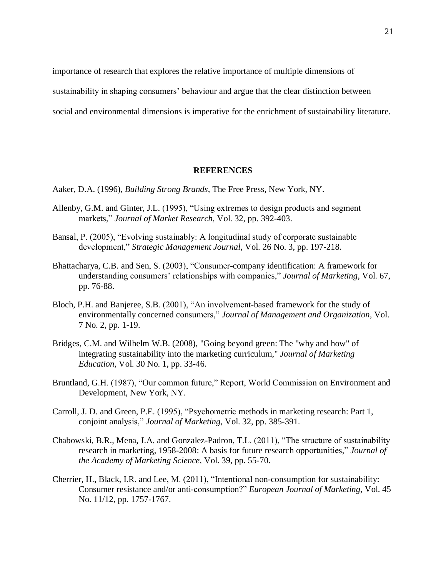importance of research that explores the relative importance of multiple dimensions of

sustainability in shaping consumers' behaviour and argue that the clear distinction between

social and environmental dimensions is imperative for the enrichment of sustainability literature.

#### **REFERENCES**

Aaker, D.A. (1996), *Building Strong Brands,* The Free Press, New York, NY.

- Allenby, G.M. and Ginter, J.L. (1995), "Using extremes to design products and segment markets," *Journal of Market Research,* Vol. 32, pp. 392-403.
- Bansal, P. (2005), "Evolving sustainably: A longitudinal study of corporate sustainable development," *Strategic Management Journal*, Vol. 26 No. 3, pp. 197-218.
- Bhattacharya, C.B. and Sen, S. (2003), "Consumer-company identification: A framework for understanding consumers' relationships with companies," *Journal of Marketing*, Vol. 67, pp. 76-88.
- Bloch, P.H. and Banjeree, S.B. (2001), "An involvement-based framework for the study of environmentally concerned consumers," *Journal of Management and Organization,* Vol. 7 No. 2, pp. 1-19.
- Bridges, C.M. and Wilhelm W.B. (2008), "Going beyond green: The "why and how" of integrating sustainability into the marketing curriculum," *Journal of Marketing Education*, Vol. 30 No. 1, pp. 33-46.
- Bruntland, G.H. (1987), "Our common future," Report, World Commission on Environment and Development, New York, NY.
- Carroll, J. D. and Green, P.E. (1995), "Psychometric methods in marketing research: Part 1, conjoint analysis," *Journal of Marketing,* Vol. 32, pp. 385-391.
- Chabowski, B.R., Mena, J.A. and Gonzalez-Padron, T.L. (2011), "The structure of sustainability research in marketing, 1958-2008: A basis for future research opportunities," *Journal of the Academy of Marketing Science,* Vol. 39, pp. 55-70.
- Cherrier, H., Black, I.R. and Lee, M. (2011), "Intentional non-consumption for sustainability: Consumer resistance and/or anti-consumption?" *European Journal of Marketing,* Vol. 45 No. 11/12, pp. 1757-1767.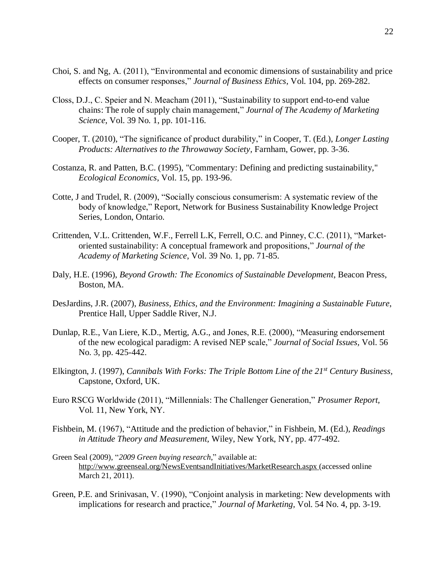- Choi, S. and Ng, A. (2011), "Environmental and economic dimensions of sustainability and price effects on consumer responses," *Journal of Business Ethics*, Vol. 104, pp. 269-282.
- Closs, D.J., C. Speier and N. Meacham (2011), "Sustainability to support end-to-end value chains: The role of supply chain management," *Journal of The Academy of Marketing Science*, Vol. 39 No. 1, pp. 101-116.
- Cooper, T. (2010), "The significance of product durability," in Cooper, T. (Ed.), *Longer Lasting Products: Alternatives to the Throwaway Society,* Farnham, Gower, pp. 3-36.
- Costanza, R. and Patten, B.C. (1995), "Commentary: Defining and predicting sustainability," *Ecological Economics*, Vol. 15, pp. 193-96.
- Cotte, J and Trudel, R. (2009), "Socially conscious consumerism: A systematic review of the body of knowledge," Report, Network for Business Sustainability Knowledge Project Series, London, Ontario.
- Crittenden, V.L. Crittenden, W.F., Ferrell L.K, Ferrell, O.C. and Pinney, C.C. (2011), "Marketoriented sustainability: A conceptual framework and propositions," *Journal of the Academy of Marketing Science*, Vol. 39 No. 1, pp. 71-85.
- Daly, H.E. (1996), *Beyond Growth: The Economics of Sustainable Development*, Beacon Press, Boston, MA.
- DesJardins, J.R. (2007), *Business, Ethics, and the Environment: Imagining a Sustainable Future*, Prentice Hall, Upper Saddle River, N.J.
- Dunlap, R.E., Van Liere, K.D., Mertig, A.G., and Jones, R.E. (2000), "Measuring endorsement of the new ecological paradigm: A revised NEP scale," *Journal of Social Issues,* Vol. 56 No. 3, pp. 425-442.
- Elkington, J. (1997), *Cannibals With Forks: The Triple Bottom Line of the 21st Century Business,* Capstone, Oxford, UK.
- Euro RSCG Worldwide (2011), "Millennials: The Challenger Generation," *Prosumer Report,*  Vol. 11, New York, NY.
- Fishbein, M. (1967), "Attitude and the prediction of behavior," in Fishbein, M. (Ed.), *Readings in Attitude Theory and Measurement,* Wiley, New York, NY, pp. 477-492.
- Green Seal (2009), "*2009 Green buying research*," available at: <http://www.greenseal.org/NewsEventsandInitiatives/MarketResearch.aspx> (accessed online March 21, 2011).
- Green, P.E. and Srinivasan, V. (1990), "Conjoint analysis in marketing: New developments with implications for research and practice," *Journal of Marketing,* Vol. 54 No. 4, pp. 3-19.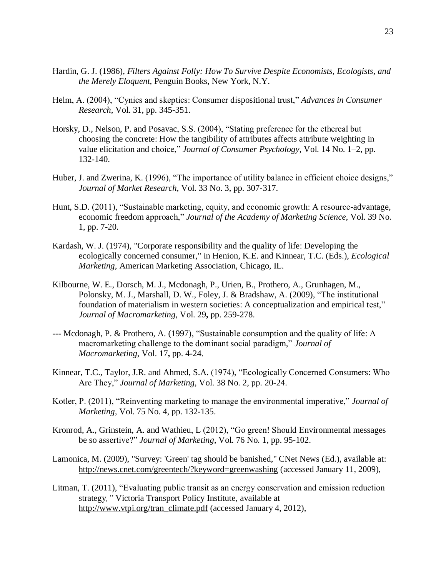- Hardin, G. J. (1986), *Filters Against Folly: How To Survive Despite Economists, Ecologists, and the Merely Eloquent,* Penguin Books, New York, N.Y.
- Helm, A. (2004), "Cynics and skeptics: Consumer dispositional trust," *Advances in Consumer Research,* Vol. 31, pp. 345-351.
- Horsky, D., Nelson, P. and Posavac, S.S. (2004), "Stating preference for the ethereal but choosing the concrete: How the tangibility of attributes affects attribute weighting in value elicitation and choice," *Journal of Consumer Psychology*, Vol. 14 No. 1–2, pp. 132-140.
- Huber, J. and Zwerina, K. (1996), "The importance of utility balance in efficient choice designs," *Journal of Market Research,* Vol. 33 No. 3, pp. 307-317.
- Hunt, S.D. (2011), "Sustainable marketing, equity, and economic growth: A resource-advantage, economic freedom approach," *Journal of the Academy of Marketing Science,* Vol. 39 No. 1, pp. 7-20.
- Kardash, W. J. (1974), "Corporate responsibility and the quality of life: Developing the ecologically concerned consumer," in Henion, K.E. and Kinnear, T.C. (Eds.), *Ecological Marketing*, American Marketing Association, Chicago, IL.
- Kilbourne, W. E., Dorsch, M. J., Mcdonagh, P., Urien, B., Prothero, A., Grunhagen, M., Polonsky, M. J., Marshall, D. W., Foley, J. & Bradshaw, A. (2009), "The institutional foundation of materialism in western societies: A conceptualization and empirical test," *Journal of Macromarketing,* Vol. 29**,** pp. 259-278.
- --- Mcdonagh, P. & Prothero, A. (1997), "Sustainable consumption and the quality of life: A macromarketing challenge to the dominant social paradigm," *Journal of Macromarketing,* Vol. 17**,** pp. 4-24.
- Kinnear, T.C., Taylor, J.R. and Ahmed, S.A. (1974), "Ecologically Concerned Consumers: Who Are They," *Journal of Marketing,* Vol. 38 No. 2, pp. 20-24.
- Kotler, P. (2011), "Reinventing marketing to manage the environmental imperative," *Journal of Marketing,* Vol. 75 No. 4, pp. 132-135.
- Kronrod, A., Grinstein, A. and Wathieu, L (2012), "Go green! Should Environmental messages be so assertive?" *Journal of Marketing*, Vol. 76 No. 1, pp. 95-102.
- Lamonica, M. (2009), "Survey: 'Green' tag should be banished," CNet News (Ed.), available at: http://news.cnet.com/greentech/?keyword=greenwashing (accessed January 11, 2009),
- Litman, T. (2011), "Evaluating public transit as an energy conservation and emission reduction strategy*,"* Victoria Transport Policy Institute, available at http://www.vtpi.org/tran\_climate.pdf (accessed January 4, 2012),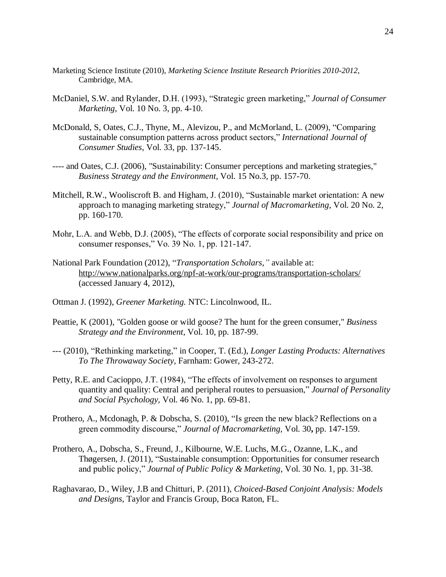- Marketing Science Institute (2010), *Marketing Science Institute Research Priorities 2010-2012*, Cambridge, MA.
- McDaniel, S.W. and Rylander, D.H. (1993), "Strategic green marketing," *Journal of Consumer Marketing,* Vol. 10 No. 3, pp. 4-10.
- McDonald, S, Oates, C.J., Thyne, M., Alevizou, P., and McMorland, L. (2009), "Comparing sustainable consumption patterns across product sectors," *International Journal of Consumer Studies,* Vol. 33, pp. 137-145.
- ---- and Oates, C.J. (2006), "Sustainability: Consumer perceptions and marketing strategies," *Business Strategy and the Environment*, Vol. 15 No.3, pp. 157-70.
- Mitchell, R.W., Wooliscroft B. and Higham, J. (2010), "Sustainable market orientation: A new approach to managing marketing strategy," *Journal of Macromarketing*, Vol. 20 No. 2, pp. 160-170.
- Mohr, L.A. and Webb, D.J. (2005), "The effects of corporate social responsibility and price on consumer responses," Vo. 39 No. 1, pp. 121-147.
- National Park Foundation (2012), "*Transportation Scholars,"* available at: http://www.nationalparks.org/npf-at-work/our-programs/transportation-scholars/ (accessed January 4, 2012),
- Ottman J. (1992), *Greener Marketing.* NTC: Lincolnwood, IL.
- Peattie, K (2001), "Golden goose or wild goose? The hunt for the green consumer," *Business Strategy and the Environment*, Vol. 10, pp. 187-99.
- --- (2010), "Rethinking marketing," in Cooper, T. (Ed.), *Longer Lasting Products: Alternatives To The Throwaway Society,* Farnham: Gower, 243-272.
- Petty, R.E. and Cacioppo, J.T. (1984), "The effects of involvement on responses to argument quantity and quality: Central and peripheral routes to persuasion," *Journal of Personality and Social Psychology,* Vol. 46 No. 1, pp. 69-81.
- Prothero, A., Mcdonagh, P. & Dobscha, S. (2010), "Is green the new black? Reflections on a green commodity discourse," *Journal of Macromarketing,* Vol. 30**,** pp. 147-159.
- Prothero, A., Dobscha, S., Freund, J., Kilbourne, W.E. Luchs, M.G., Ozanne, L.K., and Thøgersen, J. (2011), "Sustainable consumption: Opportunities for consumer research and public policy," *Journal of Public Policy & Marketing*, Vol. 30 No. 1, pp. 31-38.
- Raghavarao, D., Wiley, J.B and Chitturi, P. (2011), *Choiced-Based Conjoint Analysis: Models and Designs,* Taylor and Francis Group, Boca Raton, FL.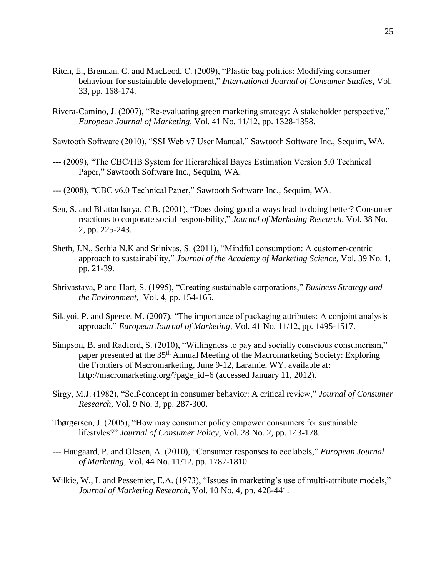- Ritch, E., Brennan, C. and MacLeod, C. (2009), "Plastic bag politics: Modifying consumer behaviour for sustainable development," *International Journal of Consumer Studies,* Vol. 33, pp. 168-174.
- Rivera-Camino, J. (2007), "Re-evaluating green marketing strategy: A stakeholder perspective," *European Journal of Marketing,* Vol. 41 No. 11/12, pp. 1328-1358.

Sawtooth Software (2010), "SSI Web v7 User Manual," Sawtooth Software Inc., Sequim, WA.

- --- (2009), "The CBC/HB System for Hierarchical Bayes Estimation Version 5.0 Technical Paper," Sawtooth Software Inc., Sequim, WA.
- --- (2008), "CBC v6.0 Technical Paper," Sawtooth Software Inc., Sequim, WA.
- Sen, S. and Bhattacharya, C.B. (2001), "Does doing good always lead to doing better? Consumer reactions to corporate social responsbility," *Journal of Marketing Research*, Vol. 38 No. 2, pp. 225-243.
- Sheth, J.N., Sethia N.K and Srinivas, S. (2011), "Mindful consumption: A customer-centric approach to sustainability," *Journal of the Academy of Marketing Science*, Vol. 39 No. 1, pp. 21-39.
- Shrivastava, P and Hart, S. (1995), "Creating sustainable corporations," *Business Strategy and the Environment,* Vol. 4, pp. 154-165.
- Silayoi, P. and Speece, M. (2007), "The importance of packaging attributes: A conjoint analysis approach," *European Journal of Marketing,* Vol. 41 No. 11/12, pp. 1495-1517.
- Simpson, B. and Radford, S. (2010), "Willingness to pay and socially conscious consumerism," paper presented at the 35th Annual Meeting of the Macromarketing Society: Exploring the Frontiers of Macromarketing, June 9-12, Laramie, WY, available at: http://macromarketing.org/?page\_id=6 (accessed January 11, 2012).
- Sirgy, M.J. (1982), "Self-concept in consumer behavior: A critical review," *Journal of Consumer Research*, Vol. 9 No. 3, pp. 287-300.
- Thørgersen, J. (2005), "How may consumer policy empower consumers for sustainable lifestyles?" *Journal of Consumer Policy*, Vol. 28 No. 2, pp. 143-178.
- --- Haugaard, P. and Olesen, A. (2010), "Consumer responses to ecolabels," *European Journal of Marketing*, Vol. 44 No. 11/12, pp. 1787-1810.
- Wilkie, W., L and Pessemier, E.A. (1973), "Issues in marketing's use of multi-attribute models," *Journal of Marketing Research*, Vol. 10 No. 4, pp. 428-441.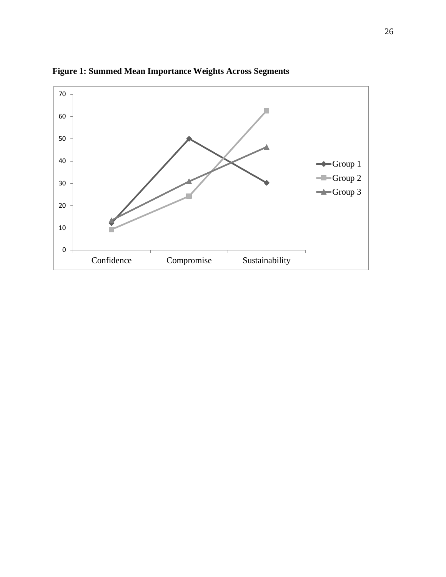

**Figure 1: Summed Mean Importance Weights Across Segments**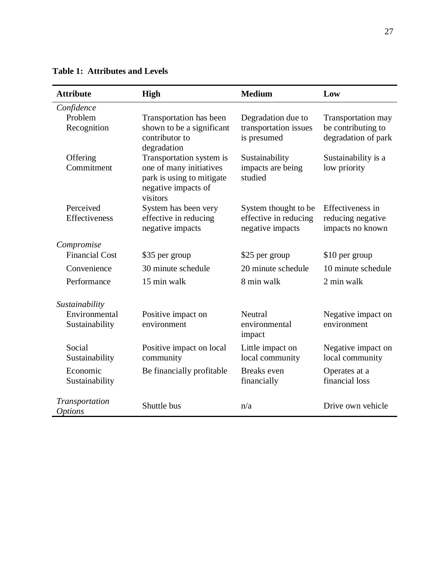| <b>Attribute</b>                 | <b>High</b>                                                                                                         | <b>Medium</b>                                                     | Low                                                                    |
|----------------------------------|---------------------------------------------------------------------------------------------------------------------|-------------------------------------------------------------------|------------------------------------------------------------------------|
| Confidence                       |                                                                                                                     |                                                                   |                                                                        |
| Problem<br>Recognition           | Transportation has been<br>shown to be a significant<br>contributor to<br>degradation                               | Degradation due to<br>transportation issues<br>is presumed        | <b>Transportation may</b><br>be contributing to<br>degradation of park |
| Offering<br>Commitment           | Transportation system is<br>one of many initiatives<br>park is using to mitigate<br>negative impacts of<br>visitors | Sustainability<br>impacts are being<br>studied                    | Sustainability is a<br>low priority                                    |
| Perceived<br>Effectiveness       | System has been very<br>effective in reducing<br>negative impacts                                                   | System thought to be<br>effective in reducing<br>negative impacts | Effectiveness in<br>reducing negative<br>impacts no known              |
| Compromise                       |                                                                                                                     |                                                                   |                                                                        |
| <b>Financial Cost</b>            | \$35 per group                                                                                                      | \$25 per group                                                    | \$10 per group                                                         |
| Convenience                      | 30 minute schedule                                                                                                  | 20 minute schedule                                                | 10 minute schedule                                                     |
| Performance                      | 15 min walk                                                                                                         | 8 min walk                                                        | 2 min walk                                                             |
| Sustainability                   |                                                                                                                     |                                                                   |                                                                        |
| Environmental<br>Sustainability  | Positive impact on<br>environment                                                                                   | Neutral<br>environmental<br>impact                                | Negative impact on<br>environment                                      |
| Social<br>Sustainability         | Positive impact on local<br>community                                                                               | Little impact on<br>local community                               | Negative impact on<br>local community                                  |
| Economic<br>Sustainability       | Be financially profitable                                                                                           | <b>Breaks</b> even<br>financially                                 | Operates at a<br>financial loss                                        |
| Transportation<br><i>Options</i> | Shuttle bus                                                                                                         | n/a                                                               | Drive own vehicle                                                      |

**Table 1: Attributes and Levels**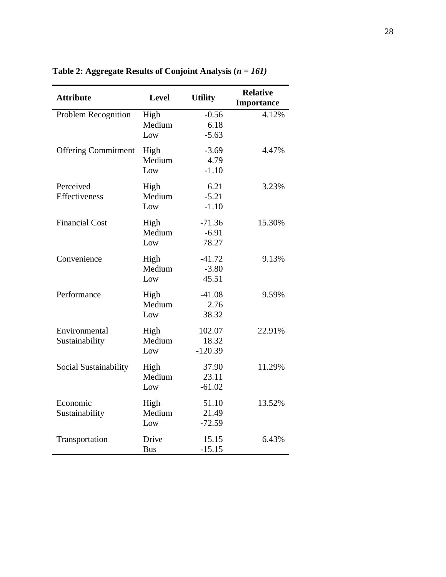| <b>Attribute</b>                | <b>Level</b>          | <b>Utility</b>               | <b>Relative</b><br><b>Importance</b> |
|---------------------------------|-----------------------|------------------------------|--------------------------------------|
| Problem Recognition             | High<br>Medium<br>Low | $-0.56$<br>6.18<br>$-5.63$   | 4.12%                                |
| <b>Offering Commitment</b>      | High<br>Medium<br>Low | $-3.69$<br>4.79<br>$-1.10$   | 4.47%                                |
| Perceived<br>Effectiveness      | High<br>Medium<br>Low | 6.21<br>$-5.21$<br>$-1.10$   | 3.23%                                |
| <b>Financial Cost</b>           | High<br>Medium<br>Low | $-71.36$<br>$-6.91$<br>78.27 | 15.30%                               |
| Convenience                     | High<br>Medium<br>Low | $-41.72$<br>$-3.80$<br>45.51 | 9.13%                                |
| Performance                     | High<br>Medium<br>Low | $-41.08$<br>2.76<br>38.32    | 9.59%                                |
| Environmental<br>Sustainability | High<br>Medium<br>Low | 102.07<br>18.32<br>$-120.39$ | 22.91%                               |
| Social Sustainability           | High<br>Medium<br>Low | 37.90<br>23.11<br>$-61.02$   | 11.29%                               |
| Economic<br>Sustainability      | High<br>Medium<br>Low | 51.10<br>21.49<br>$-72.59$   | 13.52%                               |
| Transportation                  | Drive<br><b>Bus</b>   | 15.15<br>$-15.15$            | 6.43%                                |

**Table 2: Aggregate Results of Conjoint Analysis (***n = 161)*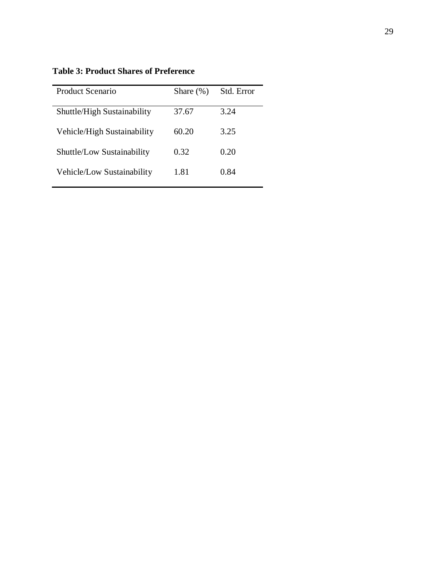**Table 3: Product Shares of Preference**

| Product Scenario            | Share $(\%)$ | Std. Error |  |
|-----------------------------|--------------|------------|--|
| Shuttle/High Sustainability | 37.67        | 3.24       |  |
| Vehicle/High Sustainability | 60.20        | 3.25       |  |
| Shuttle/Low Sustainability  | 0.32         | 0.20       |  |
| Vehicle/Low Sustainability  | 1.81         | 0.84       |  |